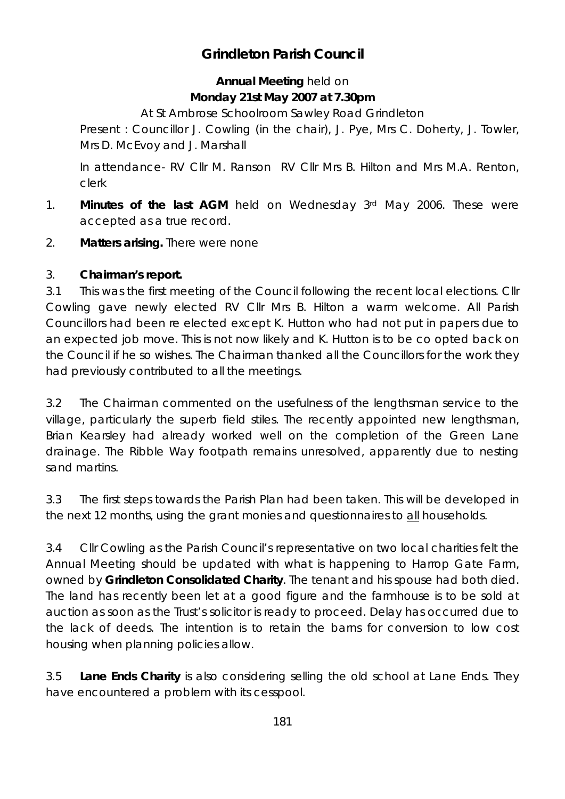## **Grindleton Parish Council**

## **Annual Meeting** held on **Monday 21st May 2007 at 7.30pm**

At St Ambrose Schoolroom Sawley Road Grindleton

Present : Councillor J. Cowling (in the chair), J. Pye, Mrs C. Doherty, J. Towler, Mrs D. McEvoy and J. Marshall

In attendance- RV Cllr M. Ranson RV Cllr Mrs B. Hilton and Mrs M.A. Renton, clerk

- 1. **Minutes of the last AGM** held on Wednesday 3rd May 2006. These were accepted as a true record.
- 2. **Matters arising.** There were none

## 3. **Chairman's report.**

3.1 This was the first meeting of the Council following the recent local elections. Cllr Cowling gave newly elected RV Cllr Mrs B. Hilton a warm welcome. All Parish Councillors had been re elected except K. Hutton who had not put in papers due to an expected job move. This is not now likely and K. Hutton is to be co opted back on the Council if he so wishes. The Chairman thanked all the Councillors for the work they had previously contributed to all the meetings.

3.2 The Chairman commented on the usefulness of the lengthsman service to the village, particularly the superb field stiles. The recently appointed new lengthsman, Brian Kearsley had already worked well on the completion of the Green Lane drainage. The Ribble Way footpath remains unresolved, apparently due to nesting sand martins.

3.3 The first steps towards the Parish Plan had been taken. This will be developed in the next 12 months, using the grant monies and questionnaires to all households.

3.4 Cllr Cowling as the Parish Council's representative on two local charities felt the Annual Meeting should be updated with what is happening to Harrop Gate Farm, owned by **Grindleton Consolidated Charity**. The tenant and his spouse had both died. The land has recently been let at a good figure and the farmhouse is to be sold at auction as soon as the Trust's solicitor is ready to proceed. Delay has occurred due to the lack of deeds. The intention is to retain the barns for conversion to low cost housing when planning policies allow.

3.5 **Lane Ends Charity** is also considering selling the old school at Lane Ends. They have encountered a problem with its cesspool.